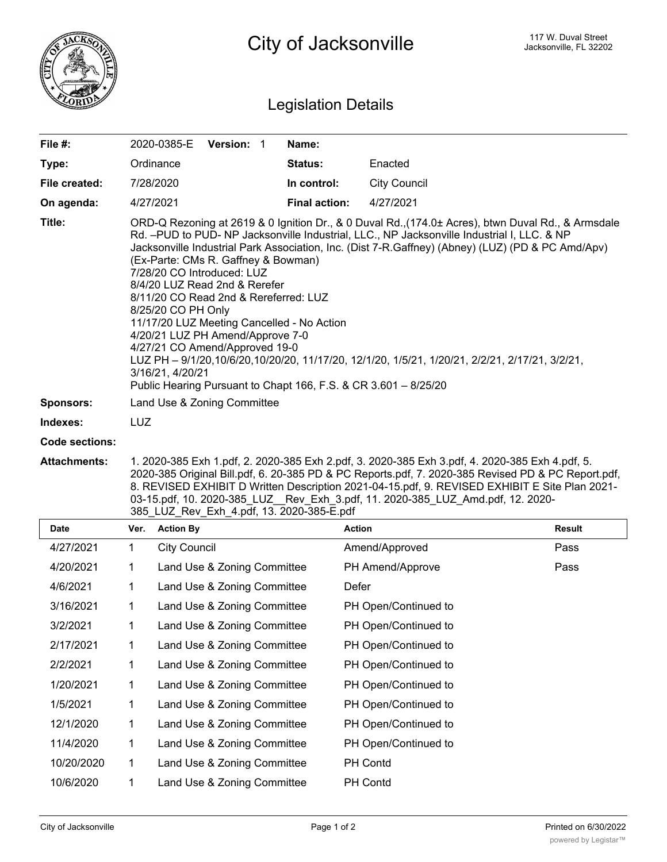

## Legislation Details

| File #:          | 2020-0385-E<br><b>Version: 1</b>                                                                                                                                                                                                                                                                                                                                                                                                                                                                                                                                                                                                                                                                                                                                                        | Name:                |                     |  |  |
|------------------|-----------------------------------------------------------------------------------------------------------------------------------------------------------------------------------------------------------------------------------------------------------------------------------------------------------------------------------------------------------------------------------------------------------------------------------------------------------------------------------------------------------------------------------------------------------------------------------------------------------------------------------------------------------------------------------------------------------------------------------------------------------------------------------------|----------------------|---------------------|--|--|
| Type:            | Ordinance                                                                                                                                                                                                                                                                                                                                                                                                                                                                                                                                                                                                                                                                                                                                                                               | <b>Status:</b>       | Enacted             |  |  |
| File created:    | 7/28/2020                                                                                                                                                                                                                                                                                                                                                                                                                                                                                                                                                                                                                                                                                                                                                                               | In control:          | <b>City Council</b> |  |  |
| On agenda:       | 4/27/2021                                                                                                                                                                                                                                                                                                                                                                                                                                                                                                                                                                                                                                                                                                                                                                               | <b>Final action:</b> | 4/27/2021           |  |  |
| Title:           | ORD-Q Rezoning at 2619 & 0 Ignition Dr., & 0 Duval Rd., (174.0± Acres), btwn Duval Rd., & Armsdale<br>Rd. -PUD to PUD- NP Jacksonville Industrial, LLC., NP Jacksonville Industrial I, LLC. & NP<br>Jacksonville Industrial Park Association, Inc. (Dist 7-R.Gaffney) (Abney) (LUZ) (PD & PC Amd/Apv)<br>(Ex-Parte: CMs R. Gaffney & Bowman)<br>7/28/20 CO Introduced: LUZ<br>8/4/20 LUZ Read 2nd & Rerefer<br>8/11/20 CO Read 2nd & Rereferred: LUZ<br>8/25/20 CO PH Only<br>11/17/20 LUZ Meeting Cancelled - No Action<br>4/20/21 LUZ PH Amend/Approve 7-0<br>4/27/21 CO Amend/Approved 19-0<br>LUZ PH - 9/1/20,10/6/20,10/20/20, 11/17/20, 12/1/20, 1/5/21, 1/20/21, 2/2/21, 2/17/21, 3/2/21,<br>3/16/21, 4/20/21<br>Public Hearing Pursuant to Chapt 166, F.S. & CR 3.601 - 8/25/20 |                      |                     |  |  |
| <b>Sponsors:</b> | Land Use & Zoning Committee                                                                                                                                                                                                                                                                                                                                                                                                                                                                                                                                                                                                                                                                                                                                                             |                      |                     |  |  |
| Indexes:         | LUZ                                                                                                                                                                                                                                                                                                                                                                                                                                                                                                                                                                                                                                                                                                                                                                                     |                      |                     |  |  |
| Code sections:   |                                                                                                                                                                                                                                                                                                                                                                                                                                                                                                                                                                                                                                                                                                                                                                                         |                      |                     |  |  |
|                  |                                                                                                                                                                                                                                                                                                                                                                                                                                                                                                                                                                                                                                                                                                                                                                                         |                      |                     |  |  |

**Attachments:** 1. 2020-385 Exh 1.pdf, 2. 2020-385 Exh 2.pdf, 3. 2020-385 Exh 3.pdf, 4. 2020-385 Exh 4.pdf, 5. 2020-385 Original Bill.pdf, 6. 20-385 PD & PC Reports.pdf, 7. 2020-385 Revised PD & PC Report.pdf, 8. REVISED EXHIBIT D Written Description 2021-04-15.pdf, 9. REVISED EXHIBIT E Site Plan 2021- 03-15.pdf, 10. 2020-385\_LUZ\_\_Rev\_Exh\_3.pdf, 11. 2020-385\_LUZ\_Amd.pdf, 12. 2020- 385\_LUZ\_Rev\_Exh\_4.pdf, 13. 2020-385-E.pdf

| Date       | Ver. | <b>Action By</b>            | <b>Action</b>        | Result |
|------------|------|-----------------------------|----------------------|--------|
| 4/27/2021  | 1    | <b>City Council</b>         | Amend/Approved       | Pass   |
| 4/20/2021  |      | Land Use & Zoning Committee | PH Amend/Approve     | Pass   |
| 4/6/2021   | 1    | Land Use & Zoning Committee | Defer                |        |
| 3/16/2021  | 1    | Land Use & Zoning Committee | PH Open/Continued to |        |
| 3/2/2021   | 1    | Land Use & Zoning Committee | PH Open/Continued to |        |
| 2/17/2021  | 1    | Land Use & Zoning Committee | PH Open/Continued to |        |
| 2/2/2021   | 1    | Land Use & Zoning Committee | PH Open/Continued to |        |
| 1/20/2021  | 1    | Land Use & Zoning Committee | PH Open/Continued to |        |
| 1/5/2021   | 1    | Land Use & Zoning Committee | PH Open/Continued to |        |
| 12/1/2020  | 1    | Land Use & Zoning Committee | PH Open/Continued to |        |
| 11/4/2020  | 1    | Land Use & Zoning Committee | PH Open/Continued to |        |
| 10/20/2020 | 1    | Land Use & Zoning Committee | PH Contd             |        |
| 10/6/2020  |      | Land Use & Zoning Committee | PH Contd             |        |